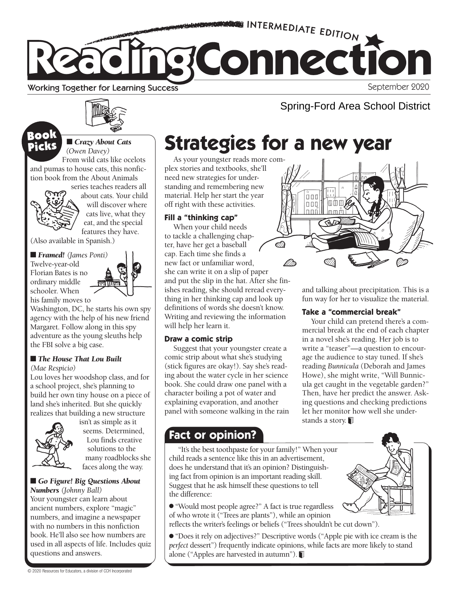

Working Together for Learning Success

September 2020

#### ■ *Crazy About Cats (Owen Davey)* Picks

From wild cats like ocelots and pumas to house cats, this nonfiction book from the About Animals



series teaches readers all about cats. Your child will discover where cats live, what they eat, and the special features they have.

(Also available in Spanish.)

■ *Framed! (James Ponti)* Twelve-year-old Florian Bates is no ordinary middle schooler. When his family moves to



Washington, DC, he starts his own spy agency with the help of his new friend Margaret. Follow along in this spy adventure as the young sleuths help the FBI solve a big case.

### ■ *The House That Lou Built*

*(Mae Respicio)* 

Lou loves her woodshop class, and for a school project, she's planning to build her own tiny house on a piece of land she's inherited. But she quickly realizes that building a new structure



isn't as simple as it seems. Determined, Lou finds creative solutions to the many roadblocks she faces along the way.

#### ■ *Go Figure! Big Questions About Numbers (Johnny Ball)*

Your youngster can learn about ancient numbers, explore "magic" numbers, and imagine a newspaper with no numbers in this nonfiction book. He'll also see how numbers are used in all aspects of life. Includes quiz questions and answers.

# **SOOK E** Crazy About Cats Strategies for a new year

As your youngster reads more complex stories and textbooks, she'll need new strategies for understanding and remembering new material. Help her start the year off right with these activities.

### **Fill a "thinking cap"**

When your child needs to tackle a challenging chapter, have her get a baseball cap. Each time she finds a new fact or unfamiliar word, she can write it on a slip of paper and put the slip in the hat. After she finishes reading, she should reread everything in her thinking cap and look up definitions of words she doesn't know. Writing and reviewing the information will help her learn it.

### **Draw a comic strip**

Suggest that your youngster create a comic strip about what she's studying (stick figures are okay!). Say she's reading about the water cycle in her science book. She could draw one panel with a character boiling a pot of water and explaining evaporation, and another panel with someone walking in the rain

### **Fact or opinion?**

"It's the best toothpaste for your family!" When your child reads a sentence like this in an advertisement, does he understand that it's an opinion? Distinguishing fact from opinion is an important reading skill. Suggest that he ask himself these questions to tell the difference:

● "Would most people agree?" A fact is true regardless of who wrote it ("Trees are plants"), while an opinion reflects the writer's feelings or beliefs ("Trees shouldn't be cut down").

● "Does it rely on adjectives?" Descriptive words ("Apple pie with ice cream is the *perfect* dessert") frequently indicate opinions, while facts are more likely to stand alone ("Apples are harvested in autumn").



Spring-Ford Area School District

and talking about precipitation. This is a fun way for her to visualize the material.

### **Take a "commercial break"**

Your child can pretend there's a commercial break at the end of each chapter in a novel she's reading. Her job is to write a "teaser"—a question to encourage the audience to stay tuned. If she's reading *Bunnicula* (Deborah and James Howe), she might write, "Will Bunnicula get caught in the vegetable garden?" Then, have her predict the answer. Asking questions and checking predictions let her monitor how well she understands a story.